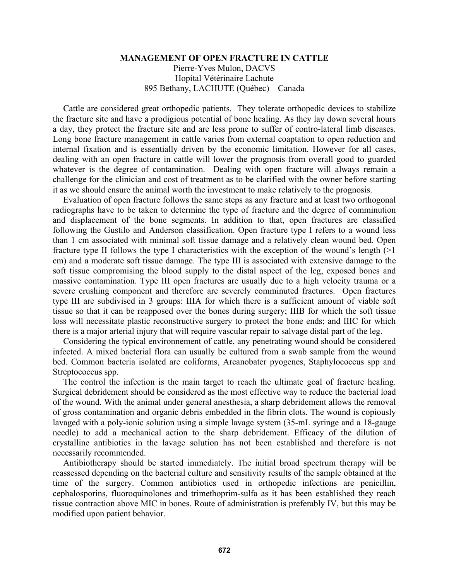## **MANAGEMENT OF OPEN FRACTURE IN CATTLE**

Pierre-Yves Mulon, DACVS Hopital Vétérinaire Lachute 895 Bethany, LACHUTE (Québec) – Canada

Cattle are considered great orthopedic patients. They tolerate orthopedic devices to stabilize the fracture site and have a prodigious potential of bone healing. As they lay down several hours a day, they protect the fracture site and are less prone to suffer of contro-lateral limb diseases. Long bone fracture management in cattle varies from external coaptation to open reduction and internal fixation and is essentially driven by the economic limitation. However for all cases, dealing with an open fracture in cattle will lower the prognosis from overall good to guarded whatever is the degree of contamination. Dealing with open fracture will always remain a challenge for the clinician and cost of treatment as to be clarified with the owner before starting it as we should ensure the animal worth the investment to make relatively to the prognosis.

Evaluation of open fracture follows the same steps as any fracture and at least two orthogonal radiographs have to be taken to determine the type of fracture and the degree of comminution and displacement of the bone segments. In addition to that, open fractures are classified following the Gustilo and Anderson classification. Open fracture type I refers to a wound less than 1 cm associated with minimal soft tissue damage and a relatively clean wound bed. Open fracture type II follows the type I characteristics with the exception of the wound's length (>1 cm) and a moderate soft tissue damage. The type III is associated with extensive damage to the soft tissue compromising the blood supply to the distal aspect of the leg, exposed bones and massive contamination. Type III open fractures are usually due to a high velocity trauma or a severe crushing component and therefore are severely comminuted fractures. Open fractures type III are subdivised in 3 groups: IIIA for which there is a sufficient amount of viable soft tissue so that it can be reapposed over the bones during surgery; IIIB for which the soft tissue loss will necessitate plastic reconstructive surgery to protect the bone ends; and IIIC for which there is a major arterial injury that will require vascular repair to salvage distal part of the leg.

Considering the typical environnement of cattle, any penetrating wound should be considered infected. A mixed bacterial flora can usually be cultured from a swab sample from the wound bed. Common bacteria isolated are coliforms, Arcanobater pyogenes, Staphylococcus spp and Streptococcus spp.

The control the infection is the main target to reach the ultimate goal of fracture healing. Surgical debridement should be considered as the most effective way to reduce the bacterial load of the wound. With the animal under general anesthesia, a sharp debridement allows the removal of gross contamination and organic debris embedded in the fibrin clots. The wound is copiously lavaged with a poly-ionic solution using a simple lavage system (35-mL syringe and a 18-gauge needle) to add a mechanical action to the sharp debridement. Efficacy of the dilution of crystalline antibiotics in the lavage solution has not been established and therefore is not necessarily recommended.

Antibiotherapy should be started immediately. The initial broad spectrum therapy will be reassessed depending on the bacterial culture and sensitivity results of the sample obtained at the time of the surgery. Common antibiotics used in orthopedic infections are penicillin, cephalosporins, fluoroquinolones and trimethoprim-sulfa as it has been established they reach tissue contraction above MIC in bones. Route of administration is preferably IV, but this may be modified upon patient behavior.